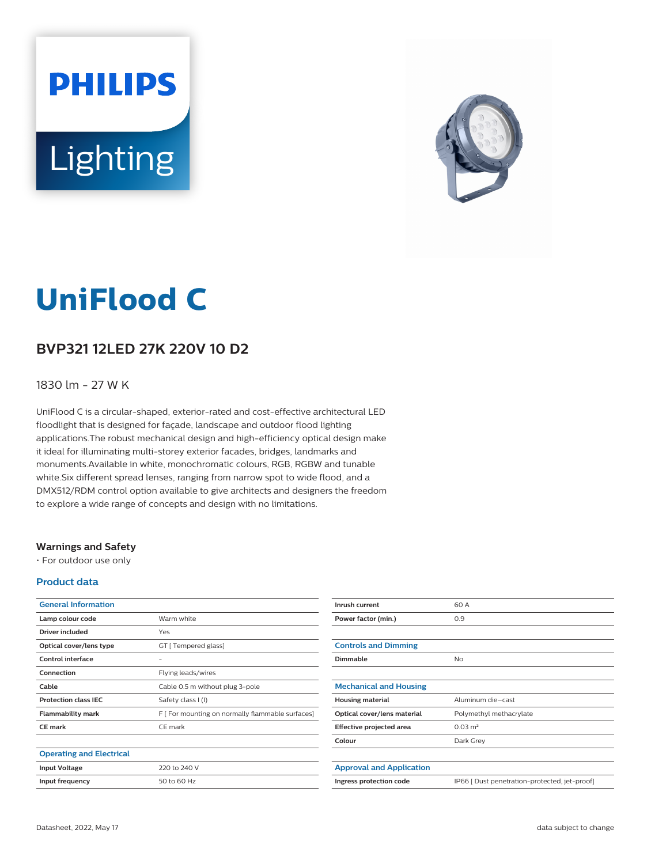# **PHILIPS** Lighting



## **UniFlood C**

#### **BVP321 12LED 27K 220V 10 D2**

#### 1830 lm - 27 W K

UniFlood C is a circular-shaped, exterior-rated and cost-effective architectural LED floodlight that is designed for façade, landscape and outdoor flood lighting applications.The robust mechanical design and high-efficiency optical design make it ideal for illuminating multi-storey exterior facades, bridges, landmarks and monuments.Available in white, monochromatic colours, RGB, RGBW and tunable white.Six different spread lenses, ranging from narrow spot to wide flood, and a DMX512/RDM control option available to give architects and designers the freedom to explore a wide range of concepts and design with no limitations.

#### **Warnings and Safety**

• For outdoor use only

#### **Product data**

| <b>General Information</b>      |                                                  |
|---------------------------------|--------------------------------------------------|
| Lamp colour code                | Warm white                                       |
| Driver included                 | Yes                                              |
| Optical cover/lens type         | GT [ Tempered glass]                             |
| Control interface               |                                                  |
| Connection                      | Flying leads/wires                               |
| Cable                           | Cable 0.5 m without plug 3-pole                  |
| <b>Protection class IEC</b>     | Safety class I (I)                               |
| <b>Flammability mark</b>        | F [ For mounting on normally flammable surfaces] |
| CE mark                         | CE mark                                          |
|                                 |                                                  |
| <b>Operating and Electrical</b> |                                                  |
| <b>Input Voltage</b>            | 220 to 240 V                                     |
| Input frequency                 | 50 to 60 Hz                                      |

| Inrush current                  | 60 A                                          |
|---------------------------------|-----------------------------------------------|
| Power factor (min.)             | 0.9                                           |
|                                 |                                               |
| <b>Controls and Dimming</b>     |                                               |
| <b>Dimmable</b>                 | No                                            |
|                                 |                                               |
| <b>Mechanical and Housing</b>   |                                               |
| <b>Housing material</b>         | Aluminum die-cast                             |
| Optical cover/lens material     | Polymethyl methacrylate                       |
| Effective projected area        | $0.03 \text{ m}^2$                            |
| Colour                          | Dark Grey                                     |
|                                 |                                               |
| <b>Approval and Application</b> |                                               |
| Ingress protection code         | IP66 [ Dust penetration-protected, jet-proof] |
|                                 |                                               |